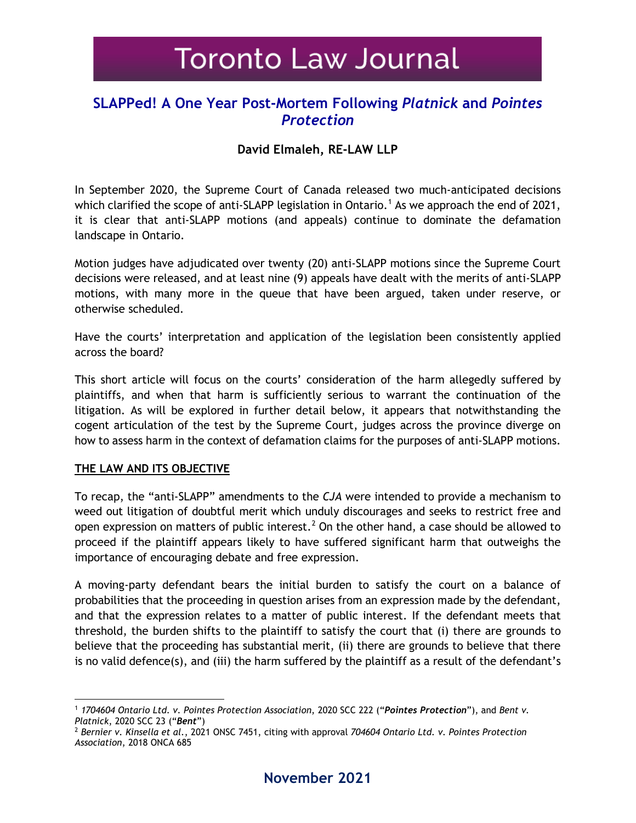# **Toronto Law Journal**

## **SLAPPed! A One Year Post-Mortem Following** *Platnick* **and** *Pointes Protection*

## **David Elmaleh, RE-LAW LLP**

In September 2020, the Supreme Court of Canada released two much-anticipated decisions which clarified the scope of anti-SLAPP legislation in Ontario.<sup>[1](#page-0-0)</sup> As we approach the end of 2021, it is clear that anti-SLAPP motions (and appeals) continue to dominate the defamation landscape in Ontario.

Motion judges have adjudicated over twenty (20) anti-SLAPP motions since the Supreme Court decisions were released, and at least nine (9) appeals have dealt with the merits of anti-SLAPP motions, with many more in the queue that have been argued, taken under reserve, or otherwise scheduled.

Have the courts' interpretation and application of the legislation been consistently applied across the board?

This short article will focus on the courts' consideration of the harm allegedly suffered by plaintiffs, and when that harm is sufficiently serious to warrant the continuation of the litigation. As will be explored in further detail below, it appears that notwithstanding the cogent articulation of the test by the Supreme Court, judges across the province diverge on how to assess harm in the context of defamation claims for the purposes of anti-SLAPP motions.

#### **THE LAW AND ITS OBJECTIVE**

To recap, the "anti-SLAPP" amendments to the *CJA* were intended to provide a mechanism to weed out litigation of doubtful merit which unduly discourages and seeks to restrict free and open expression on matters of public interest.<sup>[2](#page-0-1)</sup> On the other hand, a case should be allowed to proceed if the plaintiff appears likely to have suffered significant harm that outweighs the importance of encouraging debate and free expression.

A moving-party defendant bears the initial burden to satisfy the court on a balance of probabilities that the proceeding in question arises from an expression made by the defendant, and that the expression relates to a matter of public interest. If the defendant meets that threshold, the burden shifts to the plaintiff to satisfy the court that (i) there are grounds to believe that the proceeding has substantial merit, (ii) there are grounds to believe that there is no valid defence(s), and (iii) the harm suffered by the plaintiff as a result of the defendant's

<span id="page-0-0"></span><sup>1</sup> *1704604 Ontario Ltd. v. Pointes Protection Association*, 2020 SCC 222 ("*Pointes Protection*"), and *Bent v. Platnick*, 2020 SCC 23 ("*Bent*")

<span id="page-0-1"></span><sup>2</sup> *Bernier v. Kinsella et al*., 2021 ONSC 7451, citing with approval *704604 Ontario Ltd. v. Pointes Protection Association*, 2018 ONCA 685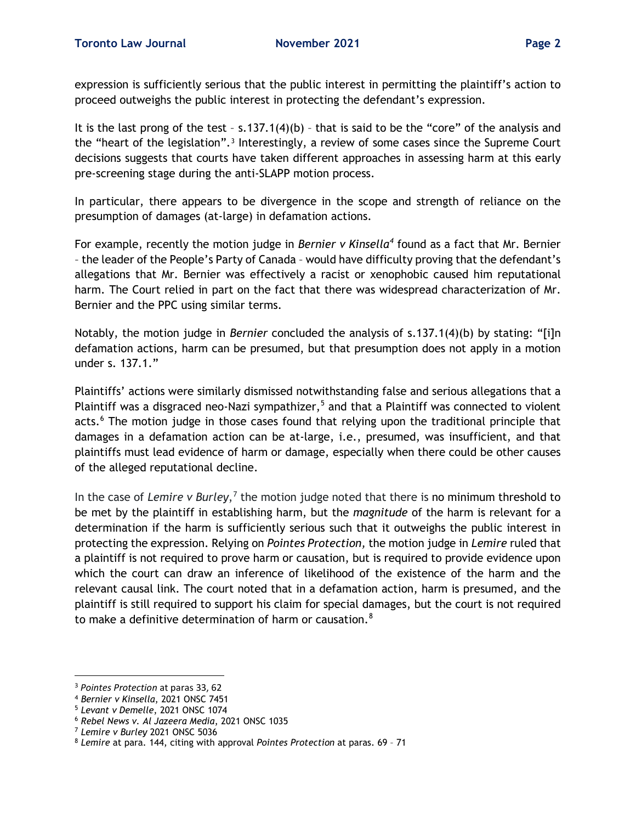expression is sufficiently serious that the public interest in permitting the plaintiff's action to proceed outweighs the public interest in protecting the defendant's expression.

It is the last prong of the test - s.137.1(4)(b) - that is said to be the "core" of the analysis and the "heart of the legislation".[3](#page-1-0) Interestingly, a review of some cases since the Supreme Court decisions suggests that courts have taken different approaches in assessing harm at this early pre-screening stage during the anti-SLAPP motion process.

In particular, there appears to be divergence in the scope and strength of reliance on the presumption of damages (at-large) in defamation actions.

For example, recently the motion judge in *Bernier v Kinsella[4](#page-1-1)* found as a fact that Mr. Bernier – the leader of the People's Party of Canada – would have difficulty proving that the defendant's allegations that Mr. Bernier was effectively a racist or xenophobic caused him reputational harm. The Court relied in part on the fact that there was widespread characterization of Mr. Bernier and the PPC using similar terms.

Notably, the motion judge in *Bernier* concluded the analysis of s.137.1(4)(b) by stating: "[i]n defamation actions, harm can be presumed, but that presumption does not apply in a motion under s. 137.1."

Plaintiffs' actions were similarly dismissed notwithstanding false and serious allegations that a Plaintiff was a disgraced neo-Nazi sympathizer,<sup>[5](#page-1-2)</sup> and that a Plaintiff was connected to violent acts.<sup>[6](#page-1-3)</sup> The motion judge in those cases found that relying upon the traditional principle that damages in a defamation action can be at-large, i.e., presumed, was insufficient, and that plaintiffs must lead evidence of harm or damage, especially when there could be other causes of the alleged reputational decline.

In the case of *Lemire v Burley*,<sup>[7](#page-1-4)</sup> the motion judge noted that there is no minimum threshold to be met by the plaintiff in establishing harm, but the *magnitude* of the harm is relevant for a determination if the harm is sufficiently serious such that it outweighs the public interest in protecting the expression. Relying on *Pointes Protection,* the motion judge in *Lemire* ruled that a plaintiff is not required to prove harm or causation, but is required to provide evidence upon which the court can draw an inference of likelihood of the existence of the harm and the relevant causal link. The court noted that in a defamation action, harm is presumed, and the plaintiff is still required to support his claim for special damages, but the court is not required to make a definitive determination of harm or causation.<sup>[8](#page-1-5)</sup>

<span id="page-1-0"></span><sup>3</sup> *Pointes Protection* at paras 33, 62

<span id="page-1-1"></span><sup>4</sup> *Bernier v Kinsella*, 2021 ONSC 7451

<span id="page-1-2"></span><sup>5</sup> *Levant v Demelle*, 2021 ONSC 1074

<span id="page-1-3"></span><sup>6</sup> *Rebel News v. Al Jazeera Media*, 2021 ONSC 1035

<span id="page-1-4"></span><sup>7</sup> *Lemire v Burley* 2021 ONSC 5036

<span id="page-1-5"></span><sup>8</sup> *Lemire* at para. 144, citing with approval *Pointes Protection* at paras. 69 – 71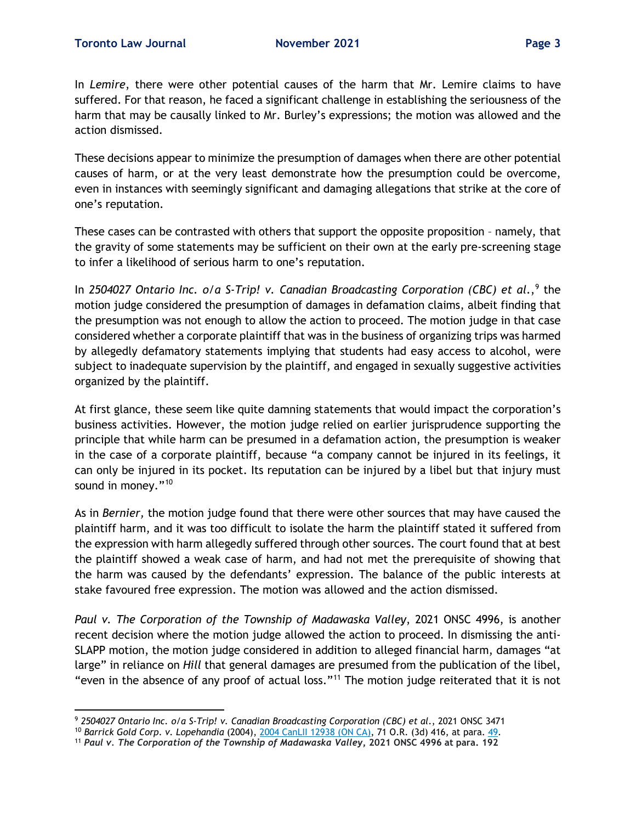In *Lemire*, there were other potential causes of the harm that Mr. Lemire claims to have suffered. For that reason, he faced a significant challenge in establishing the seriousness of the harm that may be causally linked to Mr. Burley's expressions; the motion was allowed and the action dismissed.

These decisions appear to minimize the presumption of damages when there are other potential causes of harm, or at the very least demonstrate how the presumption could be overcome, even in instances with seemingly significant and damaging allegations that strike at the core of one's reputation.

These cases can be contrasted with others that support the opposite proposition – namely, that the gravity of some statements may be sufficient on their own at the early pre-screening stage to infer a likelihood of serious harm to one's reputation.

In 2504027 Ontario Inc. o/a S-Trip! v. Canadian Broadcasting Corporation (CBC) et al.,<sup>[9](#page-2-0)</sup> the motion judge considered the presumption of damages in defamation claims, albeit finding that the presumption was not enough to allow the action to proceed. The motion judge in that case considered whether a corporate plaintiff that was in the business of organizing trips was harmed by allegedly defamatory statements implying that students had easy access to alcohol, were subject to inadequate supervision by the plaintiff, and engaged in sexually suggestive activities organized by the plaintiff.

At first glance, these seem like quite damning statements that would impact the corporation's business activities. However, the motion judge relied on earlier jurisprudence supporting the principle that while harm can be presumed in a defamation action, the presumption is weaker in the case of a corporate plaintiff, because "a company cannot be injured in its feelings, it can only be injured in its pocket. Its reputation can be injured by a libel but that injury must sound in money."<sup>[10](#page-2-1)</sup>

As in *Bernier,* the motion judge found that there were other sources that may have caused the plaintiff harm, and it was too difficult to isolate the harm the plaintiff stated it suffered from the expression with harm allegedly suffered through other sources. The court found that at best the plaintiff showed a weak case of harm, and had not met the prerequisite of showing that the harm was caused by the defendants' expression. The balance of the public interests at stake favoured free expression. The motion was allowed and the action dismissed.

*Paul v. The Corporation of the Township of Madawaska Valley*, 2021 ONSC 4996, is another recent decision where the motion judge allowed the action to proceed. In dismissing the anti-SLAPP motion, the motion judge considered in addition to alleged financial harm, damages "at large" in reliance on *Hill* that general damages are presumed from the publication of the libel, "even in the absence of any proof of actual loss."[11](#page-2-2) The motion judge reiterated that it is not

<span id="page-2-0"></span><sup>9</sup> *2504027 Ontario Inc. o/a S-Trip! v. Canadian Broadcasting Corporation (CBC) et al*., 2021 ONSC 3471

<span id="page-2-1"></span><sup>10</sup> *Barrick Gold Corp. v. Lopehandia* (2004), [2004 CanLII 12938 \(ON CA\),](https://www.canlii.org/en/on/onca/doc/2004/2004canlii12938/2004canlii12938.html) 71 O.R. (3d) 416, at para. [49.](https://www.canlii.org/en/on/onca/doc/2004/2004canlii12938/2004canlii12938.html#par49)

<span id="page-2-2"></span><sup>11</sup> *Paul v. The Corporation of the Township of Madawaska Valley***, 2021 ONSC 4996 at para. 192**